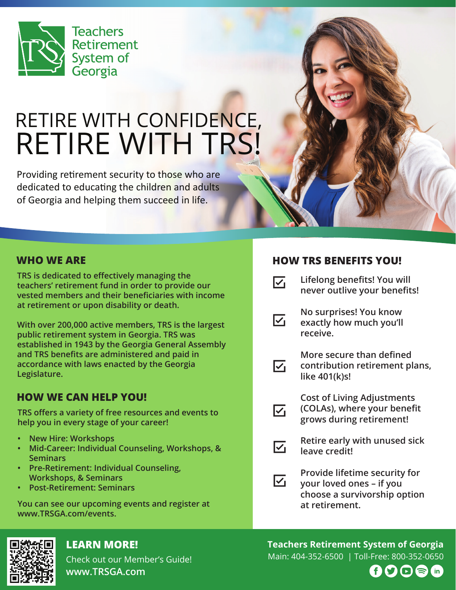

# RETIRE WITH CONFIDENCE, RETIRE WITH TRS!

Providing retirement security to those who are dedicated to educating the children and adults of Georgia and helping them succeed in life.

## **WHO WE ARE**

**TRS is dedicated to effectively managing the teachers' retirement fund in order to provide our vested members and their beneficiaries with income at retirement or upon disability or death.**

**With over 200,000 active members, TRS is the largest public retirement system in Georgia. TRS was established in 1943 by the Georgia General Assembly and TRS benefits are administered and paid in accordance with laws enacted by the Georgia Legislature.**

# **HOW WE CAN HELP YOU!**

**TRS offers a variety of free resources and events to help you in every stage of your career!**

- **New Hire: Workshops**
- **Mid-Career: Individual Counseling, Workshops, & • Seminars**
- **Pre-Retirement: Individual Counseling, • Workshops, & Seminars**
- **Post-Retirement: Seminars**

**You can see our upcoming events and register at www.TRSGA.com/events.**



# **LEARN MORE!**

Check out our Member's Guide! **www.TRSGA.com**

## **HOW TRS BENEFITS YOU!**

- $\nabla_1$ **Lifelong benefits! You will never outlive your benefits!**
	- **No surprises! You know exactly how much you'll receive.**



 $\overline{\vee}$ 

 $\overline{\mathsf{v}}_1$ 

**More secure than defined contribution retirement plans, like 401(k)s!** 

- **Cost of Living Adjustments (COLAs), where your benefit grows during retirement!**
- **Retire early with unused sick**   $\nabla_1$ **leave credit!**
- **Provide lifetime security for**   $\overline{\vee}$ **your loved ones – if you choose a survivorship option at retirement.**

#### **Teachers Retirement System of Georgia** Main: 404-352-6500 | Toll-Free: 800-352-0650

 $\text{S}$  (in) Ð